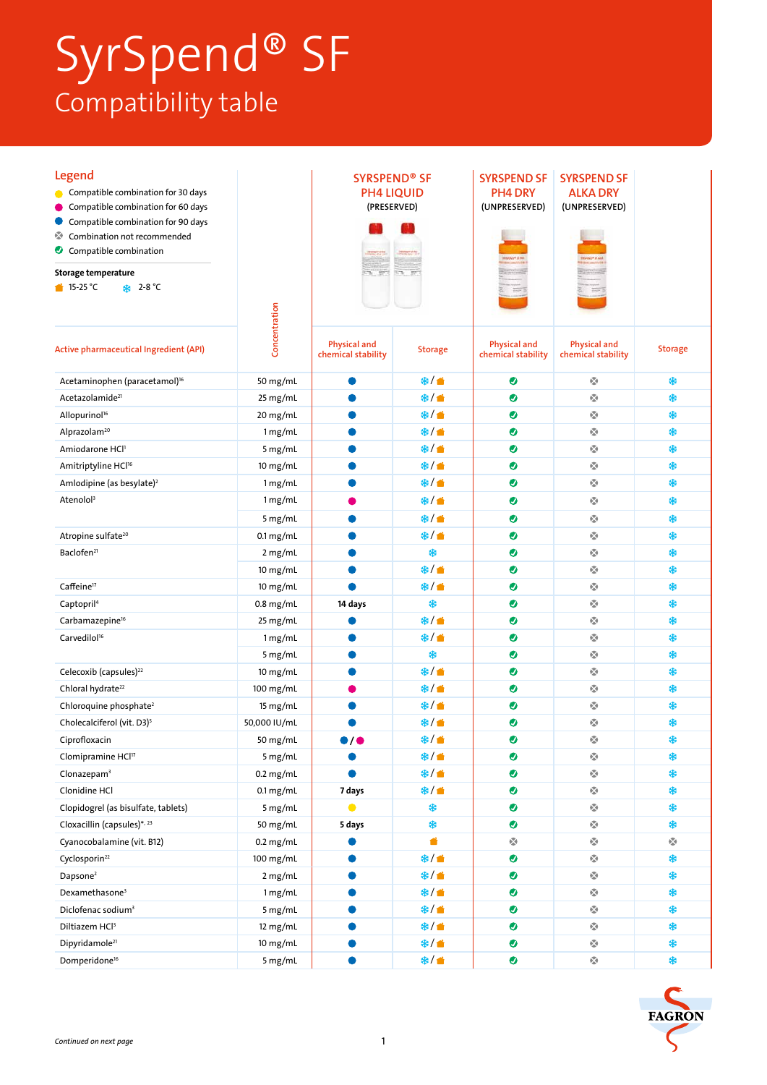## SyrSpend® SF Compatibility table

| <b>Legend</b><br>Compatible combination for 30 days<br>Compatible combination for 60 days<br>Compatible combination for 90 days<br>Combination not recommended<br>oza<br>Compatible combination<br><b>Storage temperature</b><br>$\bullet$ 15-25 °C<br><b>*</b> 2-8 ℃ | Concentration            | <b>SYRSPEND® SF</b><br><b>PH4 LIQUID</b><br>(PRESERVED) |                | <b>SYRSPEND SF</b><br>PH4 DRY<br>(UNPRESERVED) | <b>SYRSPEND SF</b><br><b>ALKA DRY</b><br>(UNPRESERVED)               |                               |
|-----------------------------------------------------------------------------------------------------------------------------------------------------------------------------------------------------------------------------------------------------------------------|--------------------------|---------------------------------------------------------|----------------|------------------------------------------------|----------------------------------------------------------------------|-------------------------------|
| <b>Active pharmaceutical Ingredient (API)</b>                                                                                                                                                                                                                         |                          | <b>Physical and</b><br>chemical stability               | <b>Storage</b> | <b>Physical and</b><br>chemical stability      | <b>Physical and</b><br>chemical stability                            | <b>Storage</b>                |
| Acetaminophen (paracetamol) <sup>16</sup>                                                                                                                                                                                                                             | 50 mg/mL                 |                                                         | ※/●            | $\bullet$                                      | $\frac{\sqrt{3}}{2\alpha}$                                           | \$                            |
| Acetazolamide <sup>21</sup>                                                                                                                                                                                                                                           | 25 mg/mL                 |                                                         | ※/●            | ◉                                              | ŵ                                                                    | \$                            |
| Allopurinol <sup>16</sup>                                                                                                                                                                                                                                             | 20 mg/mL                 |                                                         | ※/●            | ◉                                              | $\mathcal{O}(\mathcal{A})$                                           | \$                            |
| Alprazolam <sup>20</sup>                                                                                                                                                                                                                                              | 1 mg/mL                  |                                                         | ※/ 普           | $\bullet$                                      | 嚘                                                                    | \$                            |
| Amiodarone HCl1                                                                                                                                                                                                                                                       | 5 mg/mL                  |                                                         | ※/ 普           | ◉                                              | ø                                                                    | \$                            |
| Amitriptyline HCl <sup>16</sup>                                                                                                                                                                                                                                       | 10 mg/mL                 |                                                         | ※/ 普           | ◉                                              | ŵ                                                                    | \$                            |
| Amlodipine (as besylate) <sup>2</sup>                                                                                                                                                                                                                                 | 1 mg/mL                  |                                                         | ※/●            | ◉                                              | ŵ                                                                    | \$                            |
| Atenolol <sup>3</sup>                                                                                                                                                                                                                                                 | 1 mg/mL                  |                                                         | ※/●            | $\bullet$                                      | $\frac{\sqrt{3}}{4\pi}$                                              | \$                            |
|                                                                                                                                                                                                                                                                       | 5 mg/mL                  |                                                         | ※/●            | $\bullet$                                      | $\epsilon_{\rm sh}^{\rm eq}$                                         | \$                            |
| Atropine sulfate <sup>20</sup>                                                                                                                                                                                                                                        | $0.1 \text{ mg/mL}$      |                                                         | ※/●            | $\bullet$                                      | 嚘                                                                    | \$                            |
| Baclofen <sup>21</sup>                                                                                                                                                                                                                                                | 2 mg/mL                  |                                                         | *              | ◉                                              | ŵ                                                                    | \$                            |
|                                                                                                                                                                                                                                                                       | 10 mg/mL                 |                                                         | ※/音            | ◉                                              | ŵ                                                                    | \$                            |
| Caffeine <sup>17</sup>                                                                                                                                                                                                                                                | 10 mg/mL                 |                                                         | ※/●            | ◉                                              | ŵ                                                                    | \$                            |
| Captopril <sup>4</sup>                                                                                                                                                                                                                                                | $0.8$ mg/mL              | 14 days                                                 | *              | ◉                                              | Ŵ                                                                    | ₩                             |
| Carbamazepine <sup>16</sup>                                                                                                                                                                                                                                           | 25 mg/mL                 |                                                         | ※/ ▲           | $\bullet$                                      | ŵ                                                                    | \$                            |
| Carvedilol <sup>16</sup>                                                                                                                                                                                                                                              | 1 mg/mL                  |                                                         | ※/●            | ●                                              | ŵ                                                                    | \$                            |
|                                                                                                                                                                                                                                                                       | 5 mg/mL                  |                                                         | \$             | $\bullet$                                      | ø                                                                    | \$                            |
| Celecoxib (capsules) <sup>22</sup>                                                                                                                                                                                                                                    | 10 mg/mL                 |                                                         | ※/●            | ◉                                              | ŵ                                                                    | \$                            |
| Chloral hydrate <sup>22</sup>                                                                                                                                                                                                                                         | 100 mg/mL                |                                                         | ※/●            | ◉                                              | ŵ                                                                    | \$                            |
| Chloroquine phosphate <sup>2</sup>                                                                                                                                                                                                                                    | 15 mg/mL                 |                                                         | ※/●            | $\bullet$                                      | $\frac{\sqrt{3}}{4\pi}$                                              | *                             |
| Cholecalciferol (vit. D3) <sup>5</sup>                                                                                                                                                                                                                                | 50,000 IU/mL             |                                                         | <b>幸/音</b>     | ◉                                              | 嚘                                                                    | \$                            |
| Ciprofloxacin                                                                                                                                                                                                                                                         | 50 mg/mL                 | 0 /                                                     | ※/●            | ◙                                              | ø                                                                    | \$                            |
| Clomipramine HCl <sup>17</sup>                                                                                                                                                                                                                                        | 5 mg/mL                  |                                                         | ※/ ●           | $\bullet$                                      | $\mathcal{C}_{\mathbf{a}}$                                           | \$                            |
| Clonazepam <sup>3</sup>                                                                                                                                                                                                                                               | $0.2$ mg/mL              |                                                         | <b>幸/音</b>     | $\bullet$                                      | ŵ                                                                    | \$                            |
| Clonidine HCl                                                                                                                                                                                                                                                         | $0.1 \,\mathrm{mg/mL}$   | 7 days<br>$\bullet$                                     | ※/●            | ●                                              | Ŵ                                                                    | *                             |
| Clopidogrel (as bisulfate, tablets)                                                                                                                                                                                                                                   | 5 mg/mL                  |                                                         | *<br>\$        | ●                                              | $\mathfrak{b}_{\mathrm{ab}}^{\mathrm{up}}$                           | \$                            |
| Cloxacillin (capsules)*, 23                                                                                                                                                                                                                                           | 50 mg/mL                 | 5 days                                                  | ă              | $\bullet$<br>Ø                                 | $\mathbf{e}^{\mathbf{e}}_{\mathbf{a}}$<br>$\mathcal{C}_{\mathbf{a}}$ | \$<br>$\frac{\sqrt{3}}{4\pi}$ |
| Cyanocobalamine (vit. B12)<br>Cyclosporin <sup>22</sup>                                                                                                                                                                                                               | $0.2$ mg/mL<br>100 mg/mL |                                                         | ※/●            | $\bullet$                                      | $\mathcal{C}_{\mathbf{a}}$                                           | \$                            |
| Dapsone <sup>2</sup>                                                                                                                                                                                                                                                  | 2 mg/mL                  |                                                         | ※/●            | ●                                              | ŵ                                                                    | \$                            |
| Dexamethasone <sup>3</sup>                                                                                                                                                                                                                                            | 1 mg/mL                  |                                                         | ※/●            | ●                                              | ŵ                                                                    | \$                            |
| Diclofenac sodium <sup>3</sup>                                                                                                                                                                                                                                        | 5 mg/mL                  |                                                         | ※/●            | $\bullet$                                      | Ŵ                                                                    | *                             |
| Diltiazem HCl <sup>3</sup>                                                                                                                                                                                                                                            | 12 mg/mL                 |                                                         | ※/●            | $\bullet$                                      | $\mathbf{e}^{\mathbf{e}}_{\mathbf{a}}$                               | *                             |
| Dipyridamole <sup>21</sup>                                                                                                                                                                                                                                            | 10 mg/mL                 |                                                         | <b>幸/音</b>     | $\bullet$                                      | $\epsilon_{\rm eff}^{\rm eq}$                                        | \$                            |
| Domperidone <sup>16</sup>                                                                                                                                                                                                                                             | 5 mg/mL                  |                                                         | ※/●            | $\bullet$                                      | 囈                                                                    | \$                            |
|                                                                                                                                                                                                                                                                       |                          |                                                         |                |                                                |                                                                      |                               |

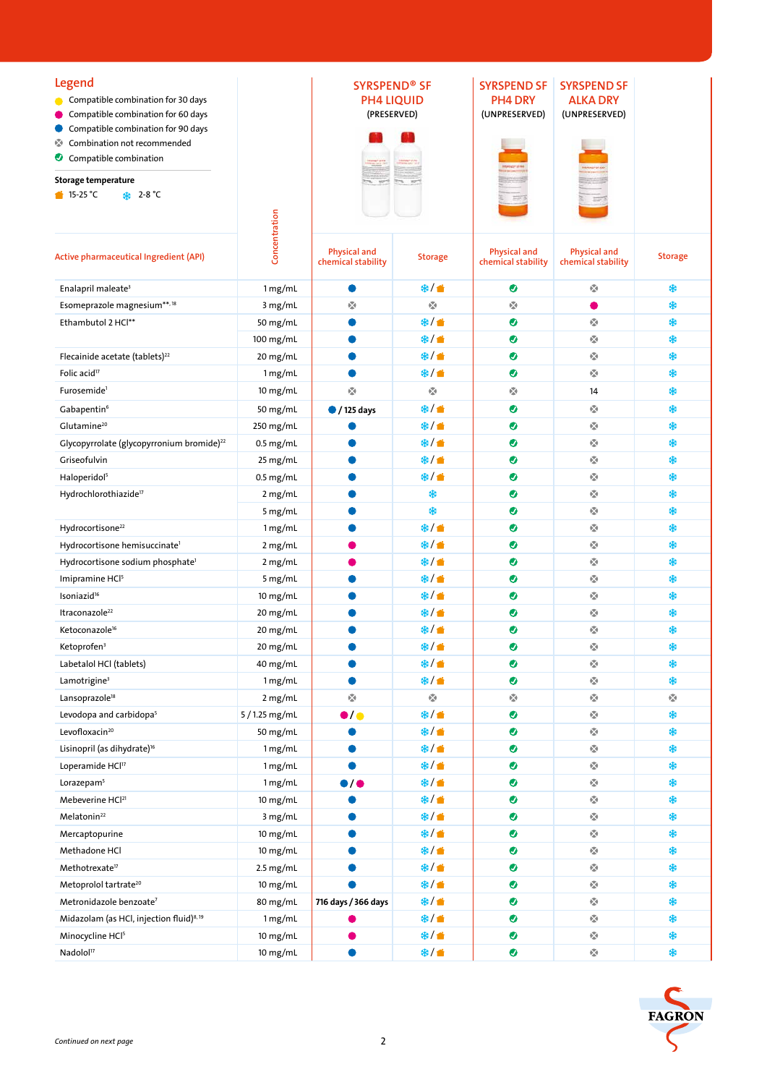| Legend<br>Compatible combination for 30 days<br>Compatible combination for 60 days<br>Compatible combination for 90 days<br>Ø.<br>Combination not recommended |                | <b>SYRSPEND<sup>®</sup> SF</b><br><b>PH4 LIQUID</b><br>(PRESERVED) |                                              | <b>SYRSPEND SF</b><br>PH4 DRY<br>(UNPRESERVED)                  | <b>SYRSPEND SF</b><br><b>ALKA DRY</b><br>(UNPRESERVED) |                |
|---------------------------------------------------------------------------------------------------------------------------------------------------------------|----------------|--------------------------------------------------------------------|----------------------------------------------|-----------------------------------------------------------------|--------------------------------------------------------|----------------|
| Compatible combination                                                                                                                                        |                |                                                                    |                                              |                                                                 |                                                        |                |
| Storage temperature<br>$\bullet$ 15-25 °C<br><b>\</b> 2-8 °C                                                                                                  |                |                                                                    |                                              |                                                                 |                                                        |                |
| Active pharmaceutical Ingredient (API)                                                                                                                        | Concentration  | <b>Physical and</b><br>chemical stability                          | <b>Storage</b>                               | <b>Physical and</b><br>chemical stability                       | <b>Physical and</b><br>chemical stability              | <b>Storage</b> |
| Enalapril maleate <sup>3</sup>                                                                                                                                | 1 mg/mL        |                                                                    | ※/●                                          | ◉                                                               | 嚘                                                      | \$             |
| Esomeprazole magnesium**,18                                                                                                                                   | 3 mg/mL        | $\mathcal{O}(\mathcal{A})$                                         | $\mathcal{C}_{\mathbf{a}}$                   | $\mathfrak{g}_{\mathfrak{g}}^{\mathfrak{m}}$                    |                                                        | \$             |
| Ethambutol 2 HCl**                                                                                                                                            | 50 mg/mL       |                                                                    | <b>米/音</b>                                   | $\bullet$                                                       | ŵ                                                      | \$             |
|                                                                                                                                                               | 100 mg/mL      |                                                                    | ※/音                                          | ◉                                                               | ŵ                                                      | \$             |
| Flecainide acetate (tablets) <sup>22</sup>                                                                                                                    | 20 mg/mL       |                                                                    | <b>米/音</b>                                   | ◉                                                               | ŵ                                                      | ₩              |
| Folic acid <sup>17</sup>                                                                                                                                      | 1 mg/mL        |                                                                    | ※/●                                          | ◉                                                               | ŵ                                                      | ₩              |
| Furosemide <sup>1</sup>                                                                                                                                       | $10$ mg/mL     | Ŵ                                                                  | $\mathfrak{h}_{\mathfrak{m}}^{\mathfrak{m}}$ | $\mathbf{r}_{\mathbf{a}}^{\mathbf{r}_{\mathbf{a}}}$             | 14                                                     | *              |
| Gabapentin <sup>6</sup>                                                                                                                                       | 50 mg/mL       | $\bullet$ / 125 days                                               | ※/●                                          | $\bullet$                                                       | $\mathfrak{b}_{\Delta}^{\mathfrak{B}}$                 | \$             |
| Glutamine <sup>20</sup>                                                                                                                                       | 250 mg/mL      |                                                                    | ※/●                                          | $\bullet$                                                       | $\mathbf{e}_{\mathbf{a}}^{\mathbf{e}_{\mathbf{a}}}$    | \$             |
| Glycopyrrolate (glycopyrronium bromide) <sup>22</sup>                                                                                                         | $0.5$ mg/mL    |                                                                    | ※/ 普                                         | ◉                                                               | ŵ                                                      | \$             |
| Griseofulvin                                                                                                                                                  | 25 mg/mL       |                                                                    | ※/ 普                                         | $\bullet$                                                       | $\mathcal{C}_{\mathbf{a}}$                             | \$             |
| Haloperidol <sup>5</sup>                                                                                                                                      | $0.5$ mg/mL    |                                                                    | ※/●                                          | $\bullet$                                                       | ŵ                                                      | \$             |
| Hydrochlorothiazide <sup>17</sup>                                                                                                                             | 2 mg/mL        |                                                                    | *                                            | ◉                                                               | ŵ                                                      | \$             |
|                                                                                                                                                               | 5 mg/mL        |                                                                    | *                                            | ◉                                                               | ŵ                                                      | \$             |
| Hydrocortisone <sup>22</sup>                                                                                                                                  | 1 mg/mL        |                                                                    | ※/ 普                                         | ◉                                                               | ŵ                                                      | \$             |
| Hydrocortisone hemisuccinate <sup>1</sup>                                                                                                                     | 2 mg/mL        |                                                                    | ※/ ▲                                         | $\bullet$                                                       | $\mathcal{O}(\mathcal{A})$                             | \$             |
| Hydrocortisone sodium phosphate <sup>1</sup>                                                                                                                  | 2 mg/mL        |                                                                    | ※/ ●                                         | $\bullet$                                                       | ŵ                                                      | \$             |
| Imipramine HCI <sup>5</sup>                                                                                                                                   | 5 mg/mL        |                                                                    | ※/●                                          | $\bullet$                                                       | ŵ                                                      | \$             |
| Isoniazid <sup>16</sup>                                                                                                                                       | 10 mg/mL       |                                                                    | <b>米/音</b>                                   | ◉                                                               | ŵ                                                      | \$             |
| Itraconazole <sup>22</sup>                                                                                                                                    | 20 mg/mL       |                                                                    | ※/●                                          | ◉                                                               | 嚘                                                      | ₩              |
| Ketoconazole <sup>16</sup>                                                                                                                                    | 20 mg/mL       |                                                                    | ※/●                                          | $\bullet$                                                       | $\epsilon_{\rm sh}^{\rm eq}$                           | *              |
| Ketoprofen <sup>3</sup>                                                                                                                                       | 20 mg/mL       |                                                                    | ※/●                                          | ◉                                                               | $\frac{\partial \nabla \phi}{\partial x^2}$            | *              |
| Labetalol HCl (tablets)                                                                                                                                       | 40 mg/mL       |                                                                    | ※/ ●                                         | $\bullet$                                                       | ŵ                                                      | \$             |
| Lamotrigine <sup>3</sup>                                                                                                                                      | 1 mg/mL        |                                                                    | ※/●                                          | $\bullet$                                                       | ŵ                                                      | \$             |
| Lansoprazole <sup>18</sup>                                                                                                                                    | 2 mg/mL        | ŵ                                                                  | $\mathcal{C}_{\mathbf{a}}$                   | $\frac{\partial \mathcal{F}_{\mathbf{p}}}{\partial \mathbf{p}}$ | 囈                                                      | ŵ              |
| Levodopa and carbidopa <sup>5</sup>                                                                                                                           | 5 / 1.25 mg/mL | $\bullet$ / $\bullet$                                              | ※/●                                          | $\bullet$                                                       | Ŵ                                                      | \$             |
| Levofloxacin <sup>20</sup>                                                                                                                                    | 50 mg/mL       |                                                                    | ※/●                                          | $\bullet$                                                       | Ŵ                                                      | \$             |
| Lisinopril (as dihydrate) <sup>16</sup>                                                                                                                       | 1 mg/mL        |                                                                    | ※/●                                          | $\bullet$                                                       | $\epsilon_{\rm eff}^{\rm eq}$                          | \$             |
| Loperamide HCl17                                                                                                                                              | 1 mg/mL        |                                                                    | ※/音                                          | $\bullet$                                                       | $\mathcal{C}_{\mathbf{a}}$                             | \$             |
| Lorazepam <sup>5</sup>                                                                                                                                        | 1 mg/mL        | $\bullet$                                                          | ※/ ●                                         | $\bullet$                                                       | ŵ                                                      | \$             |
| Mebeverine HCl <sup>21</sup>                                                                                                                                  | $10$ mg/mL     |                                                                    | ※/●                                          | $\bullet$                                                       | ŵ                                                      | \$             |
| Melatonin <sup>22</sup>                                                                                                                                       | 3 mg/mL        |                                                                    | ※/●                                          | $\bullet$                                                       | $\mathbf{r}_{\mathrm{eff}}^{\mathrm{eq}}$              | *              |
| Mercaptopurine                                                                                                                                                | $10$ mg/mL     |                                                                    | $*$ / $\bullet$                              | $\bullet$                                                       | $\mathfrak{b}_{\Delta}^{\mathfrak{B}}$                 | *              |
| Methadone HCl                                                                                                                                                 | 10 mg/mL       |                                                                    | ※/音                                          | $\bullet$                                                       | $\epsilon_{\rm eff}^{\rm eq}$                          | \$             |
| Methotrexate <sup>17</sup>                                                                                                                                    | $2.5$ mg/mL    |                                                                    | ※/音                                          | $\bullet$                                                       | $\mathcal{C}_{\mathbf{a}}$                             | \$             |
| Metoprolol tartrate <sup>20</sup>                                                                                                                             | 10 mg/mL       |                                                                    | ※/ ■                                         | $\bullet$                                                       | $\mathcal{C}_{\mathbf{a}}$                             | \$             |
| Metronidazole benzoate <sup>7</sup>                                                                                                                           | 80 mg/mL       | 716 days / 366 days                                                | ※/ ●                                         | $\bullet$                                                       | ŵ                                                      | \$             |
| Midazolam (as HCl, injection fluid) <sup>8,19</sup>                                                                                                           | 1 mg/mL        |                                                                    | ※/ ●                                         | $\bullet$                                                       | ŵ                                                      | \$             |
| Minocycline HCl <sup>5</sup>                                                                                                                                  | 10 mg/mL       |                                                                    | ※/●                                          | $\bullet$                                                       | $\mathfrak{b}_{\Delta}^{\mathfrak{B}}$                 | \$             |
| Nadolol <sup>17</sup>                                                                                                                                         | $10$ mg/mL     |                                                                    | ※/●                                          | $\bullet$                                                       | $\mathbf{e}_{\mathbf{a}}^{\mathbf{e}_{\mathbf{a}}}$    | \$             |
|                                                                                                                                                               |                |                                                                    |                                              |                                                                 |                                                        |                |
|                                                                                                                                                               |                |                                                                    |                                              |                                                                 |                                                        |                |
|                                                                                                                                                               |                |                                                                    |                                              |                                                                 |                                                        | <b>FAGRON</b>  |
| Continued on next page                                                                                                                                        |                | $\overline{2}$                                                     |                                              |                                                                 |                                                        |                |

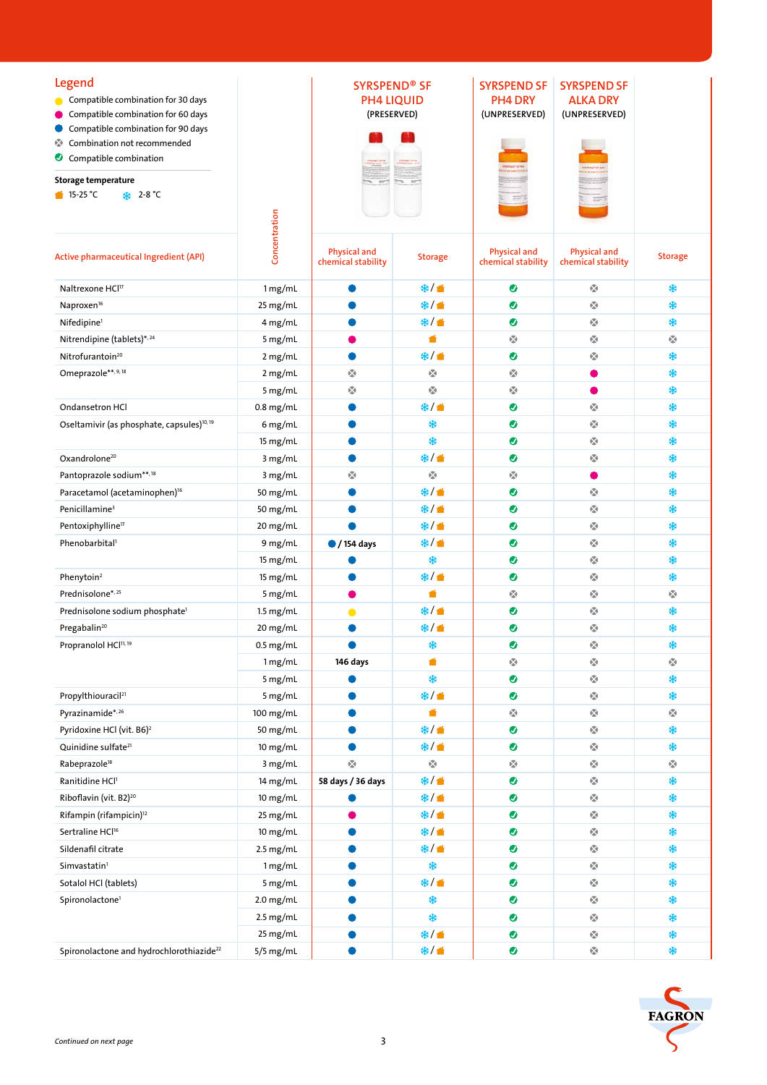| <b>Legend</b><br>• Compatible combination for 30 days<br>Compatible combination for 60 days<br>Compatible combination for 90 days<br>Ø.<br>Combination not recommended<br>Compatible combination<br>Storage temperature<br>$\bullet$ 15-25 °C<br><b>SE</b> 2-8 ℃ |               | <b>SYRSPEND® SF</b><br><b>PH4 LIQUID</b><br>(PRESERVED) |                            | <b>SYRSPEND SF</b><br>PH4 DRY<br>(UNPRESERVED) | <b>SYRSPEND SF</b><br><b>ALKA DRY</b><br>(UNPRESERVED) |                                   |
|------------------------------------------------------------------------------------------------------------------------------------------------------------------------------------------------------------------------------------------------------------------|---------------|---------------------------------------------------------|----------------------------|------------------------------------------------|--------------------------------------------------------|-----------------------------------|
| Active pharmaceutical Ingredient (API)                                                                                                                                                                                                                           | Concentration | <b>Physical and</b><br>chemical stability               | <b>Storage</b>             | <b>Physical and</b><br>chemical stability      | <b>Physical and</b><br>chemical stability              | <b>Storage</b>                    |
| Naltrexone HCl <sup>17</sup>                                                                                                                                                                                                                                     | 1 mg/mL       |                                                         | ※/●                        | $\bullet$                                      | $\mathfrak{h}_{\mathfrak{m}}^{\mathfrak{m}}$           | *                                 |
| Naproxen <sup>16</sup>                                                                                                                                                                                                                                           | 25 mg/mL      |                                                         | ※/音                        | $\bullet$                                      | $\mathcal{O}(\mathcal{A})$                             | \$                                |
| Nifedipine <sup>1</sup>                                                                                                                                                                                                                                          | 4 mg/mL       |                                                         | ※/■                        | $\bullet$                                      | $\mathcal{C}_{\mathbf{a}}$                             | \$                                |
| Nitrendipine (tablets)*,24                                                                                                                                                                                                                                       | 5 mg/mL       |                                                         | ń                          | $\mathcal{C}_{\mathbf{a}}$                     | ŵ                                                      | ø                                 |
| Nitrofurantoin <sup>20</sup>                                                                                                                                                                                                                                     | 2 mg/mL       |                                                         | ※/音                        | ◉                                              | ŵ                                                      | \$                                |
| Omeprazole**, 9, 18                                                                                                                                                                                                                                              | 2 mg/mL       | ŵ                                                       | ŵ                          | ŵ                                              |                                                        | \$                                |
|                                                                                                                                                                                                                                                                  | 5 mg/mL       | $\mathbf{r}_{\mathbf{a}}^{\mathbf{r}_{\mathbf{a}}}$     | Ŵ                          | $\mathbf{r}_{\mathrm{in}}$                     |                                                        | \$                                |
| Ondansetron HCl                                                                                                                                                                                                                                                  | $0.8$ mg/mL   |                                                         | ※/ ●                       | $\bullet$                                      | $\mathcal{O}(\mathcal{A})$                             | \$                                |
| Oseltamivir (as phosphate, capsules) <sup>10, 19</sup>                                                                                                                                                                                                           | 6 mg/mL       |                                                         | \$                         | ◉                                              | 嚘                                                      | \$                                |
|                                                                                                                                                                                                                                                                  | 15 mg/mL      |                                                         | \$                         | $\bullet$                                      | ø                                                      | \$                                |
| Oxandrolone <sup>20</sup>                                                                                                                                                                                                                                        | 3 mg/mL       |                                                         | ※/■                        | ◉                                              | ŵ                                                      | \$                                |
| Pantoprazole sodium**,18                                                                                                                                                                                                                                         | 3 mg/mL       | $\mathbf{r}_{\mathbf{a}}^{\mathbf{w}}$                  | $\mathcal{C}_{\mathbf{a}}$ | $\mathbf{r}_{\mathrm{in}}^{\mathrm{eq}}$       |                                                        | \$                                |
| Paracetamol (acetaminophen) <sup>16</sup>                                                                                                                                                                                                                        | 50 mg/mL      |                                                         | ※/●                        | $\bullet$                                      | Ŵ                                                      | \$                                |
| Penicillamine <sup>3</sup>                                                                                                                                                                                                                                       | 50 mg/mL      |                                                         | ※/●                        | ◉                                              | $\mathcal{C}_{\mathcal{A}}$                            | \$                                |
| Pentoxiphylline <sup>17</sup>                                                                                                                                                                                                                                    | 20 mg/mL      |                                                         | ※/音                        | ◉                                              | ø                                                      | \$                                |
| Phenobarbital <sup>1</sup>                                                                                                                                                                                                                                       | 9 mg/mL       | $\bullet$ / 154 days                                    | ※/■                        | ◉                                              | ŵ                                                      | \$                                |
|                                                                                                                                                                                                                                                                  | 15 mg/mL      |                                                         | *                          | $\bullet$                                      | $\mathcal{C}_{\mathbf{a}}$                             | \$                                |
| Phenytoin <sup>2</sup>                                                                                                                                                                                                                                           | 15 mg/mL      |                                                         | ※/●                        | ◉                                              | $\mathbf{r}_{\mathbf{a}}^{\mathbf{w}}$                 | *                                 |
| Prednisolone*, 25                                                                                                                                                                                                                                                | 5 mg/mL       |                                                         | ñ                          | $\mathbf{r}_{\mathrm{in}}^{\mathrm{eq}}$       | Ŵ                                                      | 嚘                                 |
| Prednisolone sodium phosphate <sup>1</sup>                                                                                                                                                                                                                       | $1.5$ mg/mL   |                                                         | ※/●                        | ◉                                              | $\mathcal{C}_{\mathcal{A}}$                            | \$                                |
| Pregabalin <sup>20</sup>                                                                                                                                                                                                                                         | 20 mg/mL      |                                                         | ※/■                        | ◉                                              | 嚘                                                      | \$                                |
| Propranolol HCl <sup>11, 19</sup>                                                                                                                                                                                                                                | $0.5$ mg/mL   |                                                         | *                          | Ø                                              | ø                                                      | *                                 |
|                                                                                                                                                                                                                                                                  | 1 mg/mL       | 146 days                                                | ₹                          | $\mathbf{r}_{\mathrm{eff}}^{\mathrm{eq}}$      | $\mathbf{r}_{\mathbf{a}}^{\mathbf{w}}$                 | $\mathcal{C}_{\mathcal{C}}$       |
|                                                                                                                                                                                                                                                                  | 5 mg/mL       |                                                         | *                          | $\bullet$                                      | $\mathbf{r}_{\mathrm{eff}}^{\mathrm{eq}}$              | *                                 |
| Propylthiouracil <sup>21</sup>                                                                                                                                                                                                                                   | 5 mg/mL       |                                                         | ※/●                        | $\bullet$                                      | Ŵ                                                      | *                                 |
| Pyrazinamide*, 26                                                                                                                                                                                                                                                | 100 mg/mL     |                                                         | ◢                          | $b_{\Delta}^{\rm eq}$                          | $\mathfrak{h}_{\mathfrak{m}}^{\mathfrak{m}}$           | $\mathfrak{b}^{\mathcal{P}}_{ab}$ |
| Pyridoxine HCl (vit. B6) <sup>2</sup>                                                                                                                                                                                                                            | 50 mg/mL      |                                                         | ※/●                        | $\bullet$                                      | $\mathfrak{g}_{\mathfrak{g}}^{\mathfrak{m}}$           | \$                                |
| Quinidine sulfate <sup>21</sup>                                                                                                                                                                                                                                  | 10 mg/mL      |                                                         | ※/●                        | $\bullet$                                      | ø                                                      | *                                 |
| Rabeprazole <sup>18</sup>                                                                                                                                                                                                                                        | 3 mg/mL       | ŵ                                                       | $\frac{1}{2}$              | $\frac{\sqrt{3}}{4\pi}$                        | ŵ                                                      | 囈                                 |
| Ranitidine HCl1                                                                                                                                                                                                                                                  | 14 mg/mL      | 58 days / 36 days                                       | ※/●                        | $\bullet$                                      | ŵ                                                      | \$                                |
| Riboflavin (vit. B2) <sup>20</sup>                                                                                                                                                                                                                               | $10$ mg/mL    |                                                         | ※/●                        | $\bullet$                                      | ŵ                                                      | *                                 |
| Rifampin (rifampicin) <sup>12</sup>                                                                                                                                                                                                                              | 25 mg/mL      |                                                         | ※/●                        | $\bullet$                                      | $\mathfrak{h}_{\mathfrak{m}}^{\mathfrak{m}}$           | \$                                |
| Sertraline HCl <sup>16</sup>                                                                                                                                                                                                                                     | 10 mg/mL      |                                                         | ※/●                        | $\bullet$                                      | $\mathfrak{g}_{\mathfrak{g}}^{\mathfrak{m}}$           | *                                 |
| Sildenafil citrate                                                                                                                                                                                                                                               | $2.5$ mg/mL   |                                                         | ※/ ●                       | $\bullet$                                      | $\tilde{V}_{\rm eff}$                                  | \$                                |
| Simvastatin <sup>1</sup>                                                                                                                                                                                                                                         | 1 mg/mL       |                                                         | *                          | $\bullet$                                      | Ø                                                      | \$                                |
| Sotalol HCl (tablets)                                                                                                                                                                                                                                            | 5 mg/mL       |                                                         | ※/●                        | $\bullet$                                      | ŵ                                                      | \$                                |
| Spironolactone <sup>1</sup>                                                                                                                                                                                                                                      | $2.0$ mg/mL   |                                                         | ₩                          | $\bullet$                                      | $\epsilon_{\rm eff}^{\rm eq}$                          | *                                 |
|                                                                                                                                                                                                                                                                  | $2.5$ mg/mL   |                                                         | *                          | $\bullet$                                      | Ŵ                                                      | *                                 |
|                                                                                                                                                                                                                                                                  | 25 mg/mL      |                                                         | ※/●                        | $\bullet$                                      | $\mathbf{e}^{\mathbf{e}}_{\mathbf{a}}$                 | \$                                |
| Spironolactone and hydrochlorothiazide <sup>22</sup>                                                                                                                                                                                                             | $5/5$ mg/mL   |                                                         | ※/●                        | $\bullet$                                      | $\frac{\sqrt{3}}{4\pi}$                                | \$                                |
|                                                                                                                                                                                                                                                                  |               |                                                         |                            |                                                |                                                        |                                   |
|                                                                                                                                                                                                                                                                  |               |                                                         |                            |                                                |                                                        |                                   |
|                                                                                                                                                                                                                                                                  |               |                                                         |                            |                                                |                                                        | <b>FAGRON</b>                     |
|                                                                                                                                                                                                                                                                  |               |                                                         |                            |                                                |                                                        |                                   |
| Continued on next page                                                                                                                                                                                                                                           |               | 3                                                       |                            |                                                |                                                        |                                   |

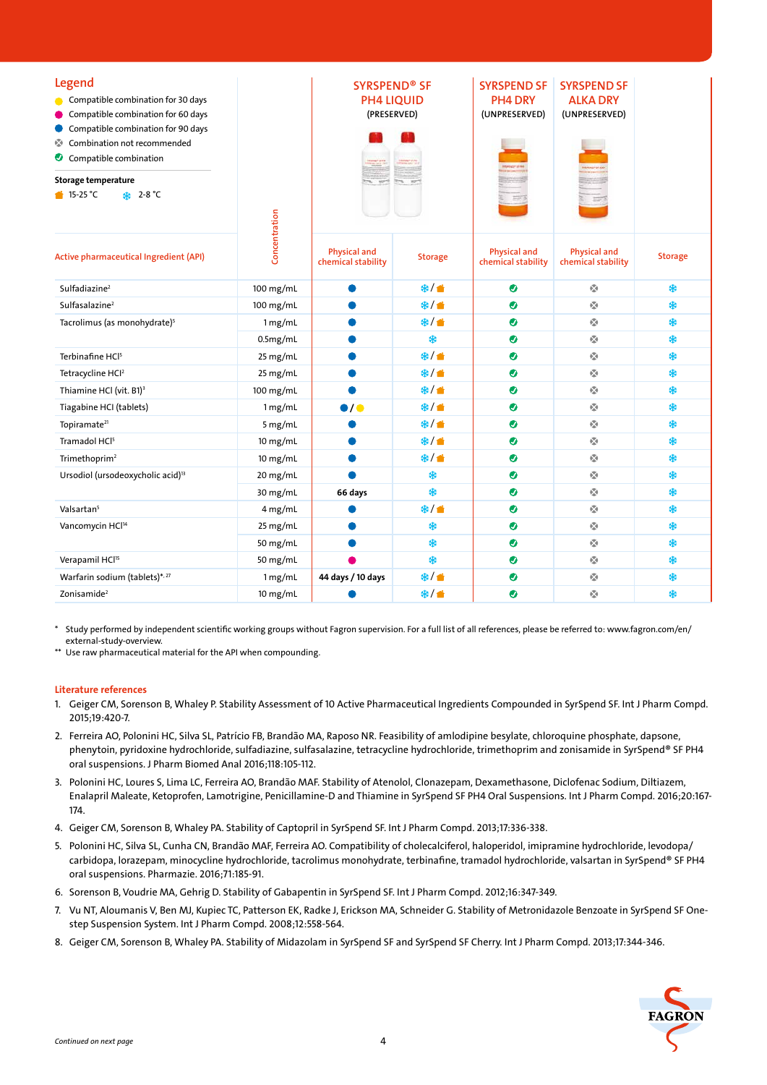| Legend<br>Compatible combination for 30 days<br>Compatible combination for 60 days<br>Compatible combination for 90 days<br>Combination not recommended<br>ozo.<br>Compatible combination<br>Storage temperature<br><b>SA</b> 2-8 °C<br>$\bullet$ 15-25 °C                                                                                                                                                                                                                                                                                                                                                       |               |                                    | <b>SYRSPEND<sup>®</sup> SF</b><br><b>PH4 LIQUID</b><br>(PRESERVED) |                                           | <b>SYRSPEND SF</b><br><b>ALKA DRY</b><br>(UNPRESERVED) |                |
|------------------------------------------------------------------------------------------------------------------------------------------------------------------------------------------------------------------------------------------------------------------------------------------------------------------------------------------------------------------------------------------------------------------------------------------------------------------------------------------------------------------------------------------------------------------------------------------------------------------|---------------|------------------------------------|--------------------------------------------------------------------|-------------------------------------------|--------------------------------------------------------|----------------|
| Active pharmaceutical Ingredient (API)                                                                                                                                                                                                                                                                                                                                                                                                                                                                                                                                                                           | Concentration | Physical and<br>chemical stability | <b>Storage</b>                                                     | <b>Physical and</b><br>chemical stability | <b>Physical and</b><br>chemical stability              | <b>Storage</b> |
| Sulfadiazine <sup>2</sup>                                                                                                                                                                                                                                                                                                                                                                                                                                                                                                                                                                                        | 100 mg/mL     | ●                                  | ※/●                                                                | ◉                                         | 嚘                                                      | \$             |
| Sulfasalazine <sup>2</sup>                                                                                                                                                                                                                                                                                                                                                                                                                                                                                                                                                                                       | 100 mg/mL     |                                    | ※/音                                                                | ◉                                         | 嚘                                                      | \$             |
| Tacrolimus (as monohydrate) <sup>5</sup>                                                                                                                                                                                                                                                                                                                                                                                                                                                                                                                                                                         | 1 mg/mL       |                                    | ※/音                                                                | ◉                                         | ŵ                                                      | \$             |
|                                                                                                                                                                                                                                                                                                                                                                                                                                                                                                                                                                                                                  | 0.5mg/mL      |                                    | *                                                                  | ◉                                         | ŵ                                                      | \$             |
| Terbinafine HCl <sup>5</sup>                                                                                                                                                                                                                                                                                                                                                                                                                                                                                                                                                                                     | 25 mg/mL      |                                    | ※/音                                                                | ◉                                         | ŵ                                                      | \$             |
| Tetracycline HCl <sup>2</sup>                                                                                                                                                                                                                                                                                                                                                                                                                                                                                                                                                                                    | 25 mg/mL      |                                    | ※/音                                                                | ◉                                         | $\mathbf{r}_{\mathbf{a}}^{\mathbf{w}}$                 | *              |
| Thiamine HCl (vit. B1) <sup>3</sup>                                                                                                                                                                                                                                                                                                                                                                                                                                                                                                                                                                              | $100$ mg/mL   |                                    | ※/音                                                                | ◉                                         | 嚘                                                      | *              |
| Tiagabine HCI (tablets)                                                                                                                                                                                                                                                                                                                                                                                                                                                                                                                                                                                          | 1 mg/mL       | $\bullet$ / $\bullet$              | ※/ 普                                                               | ◉                                         | 嚘                                                      | \$             |
| Topiramate <sup>21</sup>                                                                                                                                                                                                                                                                                                                                                                                                                                                                                                                                                                                         | 5 mg/mL       |                                    | ※/音                                                                | ◉                                         | Ŵ                                                      | \$             |
| Tramadol HCl <sup>5</sup>                                                                                                                                                                                                                                                                                                                                                                                                                                                                                                                                                                                        | $10$ mg/mL    |                                    | ※/音                                                                | ●                                         | Ŵ                                                      | \$             |
| Trimethoprim <sup>2</sup>                                                                                                                                                                                                                                                                                                                                                                                                                                                                                                                                                                                        | $10$ mg/mL    |                                    | ※/音                                                                | $\bullet$                                 | $\mathcal{C}_{\mathbf{a}}$                             | \$             |
| Ursodiol (ursodeoxycholic acid) <sup>13</sup>                                                                                                                                                                                                                                                                                                                                                                                                                                                                                                                                                                    | 20 mg/mL      |                                    | *                                                                  | ◉                                         | $\mathbf{r}_{\mathbf{a}}^{\mathbf{w}}$                 | \$             |
|                                                                                                                                                                                                                                                                                                                                                                                                                                                                                                                                                                                                                  | 30 mg/mL      | 66 days                            | *                                                                  | ◉                                         | Ŵ                                                      | \$             |
| Valsartan <sup>5</sup>                                                                                                                                                                                                                                                                                                                                                                                                                                                                                                                                                                                           | 4 mg/mL       |                                    | ※/ ●                                                               | ◉                                         | 嚘                                                      | \$             |
| Vancomycin HCl <sup>14</sup>                                                                                                                                                                                                                                                                                                                                                                                                                                                                                                                                                                                     | 25 mg/mL      |                                    | *                                                                  | ●                                         | Ŵ                                                      | \$             |
|                                                                                                                                                                                                                                                                                                                                                                                                                                                                                                                                                                                                                  | 50 mg/mL      |                                    | *                                                                  | ◉                                         | Ŵ                                                      | \$             |
| Verapamil HCl <sup>15</sup>                                                                                                                                                                                                                                                                                                                                                                                                                                                                                                                                                                                      | 50 mg/mL      |                                    | \$                                                                 | ●                                         | $\mathcal{C}_{\mathbf{a}}$                             | \$             |
| Warfarin sodium (tablets)*, 27                                                                                                                                                                                                                                                                                                                                                                                                                                                                                                                                                                                   | 1 mg/mL       | 44 days / 10 days                  | ※/音                                                                | $\bullet$                                 | $\mathbf{r}_{\mathbf{a}}^{\mathbf{w}}$                 | \$             |
| Zonisamide <sup>2</sup>                                                                                                                                                                                                                                                                                                                                                                                                                                                                                                                                                                                          | 10 mg/mL      |                                    | ※/●                                                                | ◉                                         | Ŵ                                                      | *              |
| Study performed by independent scientific working groups without Fagron supervision. For a full list of all references, please be referred to: www.fagron.com/en/<br>external-study-overview.<br>** Use raw pharmaceutical material for the API when compounding.<br>Literature references<br>1. Geiger CM, Sorenson B, Whaley P. Stability Assessment of 10 Active Pharmaceutical Ingredients Compounded in SyrSpend SF. Int J Pharm Compd.<br>2015;19:420-7.<br>2. Ferreira AO, Polonini HC, Silva SL, Patrício FB, Brandão MA, Raposo NR. Feasibility of amlodipine besylate, chloroquine phosphate, dapsone, |               |                                    |                                                                    |                                           |                                                        |                |
| phenytoin, pyridoxine hydrochloride, sulfadiazine, sulfasalazine, tetracycline hydrochloride, trimethoprim and zonisamide in SyrSpend® SF PH4<br>oral suspensions. J Pharm Biomed Anal 2016;118:105-112.                                                                                                                                                                                                                                                                                                                                                                                                         |               |                                    |                                                                    |                                           |                                                        |                |
| 3. Polonini HC, Loures S, Lima LC, Ferreira AO, Brandão MAF. Stability of Atenolol, Clonazepam, Dexamethasone, Diclofenac Sodium, Diltiazem,<br>Enalapril Maleate, Ketoprofen, Lamotrigine, Penicillamine-D and Thiamine in SyrSpend SF PH4 Oral Suspensions. Int J Pharm Compd. 2016;20:167-<br>174.                                                                                                                                                                                                                                                                                                            |               |                                    |                                                                    |                                           |                                                        |                |
| 4. Geiger CM, Sorenson B, Whaley PA. Stability of Captopril in SyrSpend SF. Int J Pharm Compd. 2013;17:336-338.                                                                                                                                                                                                                                                                                                                                                                                                                                                                                                  |               |                                    |                                                                    |                                           |                                                        |                |
| 5. Polonini HC, Silva SL, Cunha CN, Brandão MAF, Ferreira AO. Compatibility of cholecalciferol, haloperidol, imipramine hydrochloride, levodopa/<br>carbidopa, lorazepam, minocycline hydrochloride, tacrolimus monohydrate, terbinafine, tramadol hydrochloride, valsartan in SyrSpend® SF PH4<br>oral suspensions. Pharmazie. 2016;71:185-91.                                                                                                                                                                                                                                                                  |               |                                    |                                                                    |                                           |                                                        |                |
| 6. Sorenson B, Voudrie MA, Gehrig D. Stability of Gabapentin in SyrSpend SF. Int J Pharm Compd. 2012;16:347-349.                                                                                                                                                                                                                                                                                                                                                                                                                                                                                                 |               |                                    |                                                                    |                                           |                                                        |                |
| 7. Vu NT, Aloumanis V, Ben MJ, Kupiec TC, Patterson EK, Radke J, Erickson MA, Schneider G. Stability of Metronidazole Benzoate in SyrSpend SF One-<br>step Suspension System. Int J Pharm Compd. 2008;12:558-564.                                                                                                                                                                                                                                                                                                                                                                                                |               |                                    |                                                                    |                                           |                                                        |                |
| 8. Geiger CM, Sorenson B, Whaley PA. Stability of Midazolam in SyrSpend SF and SyrSpend SF Cherry. Int J Pharm Compd. 2013;17:344-346.                                                                                                                                                                                                                                                                                                                                                                                                                                                                           |               |                                    |                                                                    |                                           |                                                        |                |
|                                                                                                                                                                                                                                                                                                                                                                                                                                                                                                                                                                                                                  |               |                                    |                                                                    |                                           |                                                        |                |
|                                                                                                                                                                                                                                                                                                                                                                                                                                                                                                                                                                                                                  |               |                                    |                                                                    |                                           |                                                        |                |
|                                                                                                                                                                                                                                                                                                                                                                                                                                                                                                                                                                                                                  |               |                                    |                                                                    |                                           |                                                        |                |
| Continued on next page                                                                                                                                                                                                                                                                                                                                                                                                                                                                                                                                                                                           |               | 4                                  |                                                                    |                                           |                                                        |                |

## Literature references

- 1. Geiger CM, Sorenson B, Whaley P. Stability Assessment of 10 Active Pharmaceutical Ingredients Compounded in SyrSpend SF. Int J Pharm Compd. 2015;19:420-7.
- 2. Ferreira AO, Polonini HC, Silva SL, Patrício FB, Brandão MA, Raposo NR. Feasibility of amlodipine besylate, chloroquine phosphate, dapsone, phenytoin, pyridoxine hydrochloride, sulfadiazine, sulfasalazine, tetracycline hydrochloride, trimethoprim and zonisamide in SyrSpend® SF PH4 oral suspensions. J Pharm Biomed Anal 2016;118:105-112.
- 3. Polonini HC, Loures S, Lima LC, Ferreira AO, Brandão MAF. Stability of Atenolol, Clonazepam, Dexamethasone, Diclofenac Sodium, Diltiazem, Enalapril Maleate, Ketoprofen, Lamotrigine, Penicillamine-D and Thiamine in SyrSpend SF PH4 Oral Suspensions. Int J Pharm Compd. 2016;20:167- 174.
- 4. Geiger CM, Sorenson B, Whaley PA. Stability of Captopril in SyrSpend SF. Int J Pharm Compd. 2013;17:336-338.
- 5. Polonini HC, Silva SL, Cunha CN, Brandão MAF, Ferreira AO. Compatibility of cholecalciferol, haloperidol, imipramine hydrochloride, levodopa/ carbidopa, lorazepam, minocycline hydrochloride, tacrolimus monohydrate, terbinafine, tramadol hydrochloride, valsartan in SyrSpend® SF PH4 oral suspensions. Pharmazie. 2016;71:185-91.
- 6. Sorenson B, Voudrie MA, Gehrig D. Stability of Gabapentin in SyrSpend SF. Int J Pharm Compd. 2012;16:347-349.
- 7. Vu NT, Aloumanis V, Ben MJ, Kupiec TC, Patterson EK, Radke J, Erickson MA, Schneider G. Stability of Metronidazole Benzoate in SyrSpend SF Onestep Suspension System. Int J Pharm Compd. 2008;12:558-564.
- 8. Geiger CM, Sorenson B, Whaley PA. Stability of Midazolam in SyrSpend SF and SyrSpend SF Cherry. Int J Pharm Compd. 2013;17:344-346.